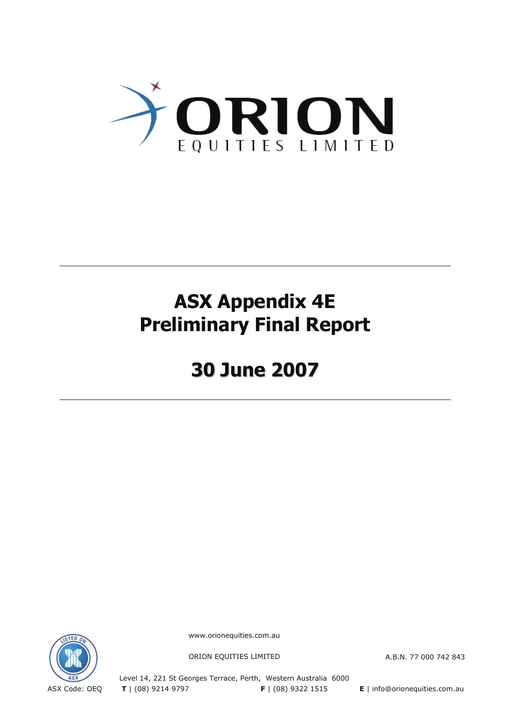

# **ASX Appendix 4E Preliminary Final Report**

# **30 June 2007**



www.orionequities.com.au

ORION EQUITIES LIMITED A.B.N. 77 000 742 843

Level 14, 221 St Georges Terrace, Perth, Western Australia 6000 ASX Code: OEQ **T** | (08) 9214 9797 **F** | (08) 9322 1515 **E** | info@orionequities.com.au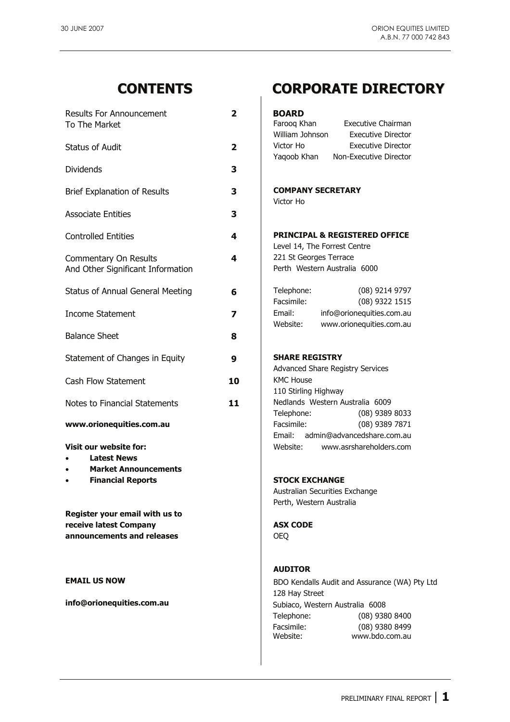| <b>Results For Announcement</b>                                      | $\mathbf{2}$            | <b>BOARD</b>                                                                        |
|----------------------------------------------------------------------|-------------------------|-------------------------------------------------------------------------------------|
| To The Market                                                        |                         | Farooq Khan<br>Executive Chairman<br>William Johnson<br><b>Executive Director</b>   |
| <b>Status of Audit</b>                                               | $\overline{\mathbf{2}}$ | Victor Ho<br><b>Executive Director</b>                                              |
|                                                                      |                         | Yaqoob Khan<br>Non-Executive Director                                               |
| <b>Dividends</b>                                                     | 3                       |                                                                                     |
| <b>Brief Explanation of Results</b>                                  | 3                       | <b>COMPANY SECRETARY</b><br>Victor Ho                                               |
| <b>Associate Entities</b>                                            | 3                       |                                                                                     |
| <b>Controlled Entities</b>                                           | 4                       | PRINCIPAL & REGISTERED OFFICE<br>Level 14, The Forrest Centre                       |
| Commentary On Results<br>And Other Significant Information           | 4                       | 221 St Georges Terrace<br>Perth Western Australia 6000                              |
| <b>Status of Annual General Meeting</b>                              | 6                       | Telephone:<br>$(08)$ 9214 9797<br>Facsimile:<br>(08) 9322 1515                      |
| <b>Income Statement</b>                                              | 7                       | Email:<br>info@orionequities.com.au<br>www.orionequities.com.au<br>Website:         |
| <b>Balance Sheet</b>                                                 | 8                       |                                                                                     |
| Statement of Changes in Equity                                       | 9                       | <b>SHARE REGISTRY</b>                                                               |
| Cash Flow Statement                                                  | 10                      | <b>Advanced Share Registry Services</b><br><b>KMC House</b><br>110 Stirling Highway |
| Notes to Financial Statements                                        | 11                      | Nedlands Western Australia 6009<br>Telephone:<br>$(08)$ 9389 8033                   |
| www.orionequities.com.au                                             |                         | Facsimile:<br>$(08)$ 9389 7871                                                      |
| Visit our website for:<br><b>Latest News</b><br>$\bullet$            |                         | Email: admin@advancedshare.com.au<br>Website:<br>www.asrshareholders.com            |
| <b>Market Announcements</b><br>$\bullet$<br><b>Financial Reports</b> |                         | <b>STOCK EXCHANGE</b>                                                               |
| $\bullet$                                                            |                         | Australian Securities Exchange                                                      |
|                                                                      |                         | Perth, Western Australia                                                            |
| Register your email with us to                                       |                         |                                                                                     |
| receive latest Company                                               |                         | <b>ASX CODE</b>                                                                     |
| announcements and releases                                           |                         | <b>OEQ</b>                                                                          |
|                                                                      |                         | <b>AUDITOR</b>                                                                      |
| <b>EMAIL US NOW</b>                                                  |                         | BDO Kendalls Audit and Assurance (WA)<br>128 Hay Street                             |

# **CONTENTS CORPORATE DIRECTORY**

| BOARD           |                           |
|-----------------|---------------------------|
| Farooq Khan     | Executive Chairman        |
| William Johnson | <b>Executive Director</b> |
| Victor Ho       | <b>Executive Director</b> |
| Yagoob Khan     | Non-Executive Director    |

#### **COMPANY SECRETARY** Victor Ho

### **SHARE REGISTRY**

#### **STOCK EXCHANGE**

#### **ASX CODE**

#### **AUDITOR**

**EDO Kendalls Audit and Assurance (WA) Pty Ltd**  128 Hay Street **info@orionequities.com.au and all info@orionequities.com.au Subiaco, Western Australia 6008**  Telephone: (08) 9380 8400 Facsimile: (08) 9380 8499<br>Website: www.bdo.com.au www.bdo.com.au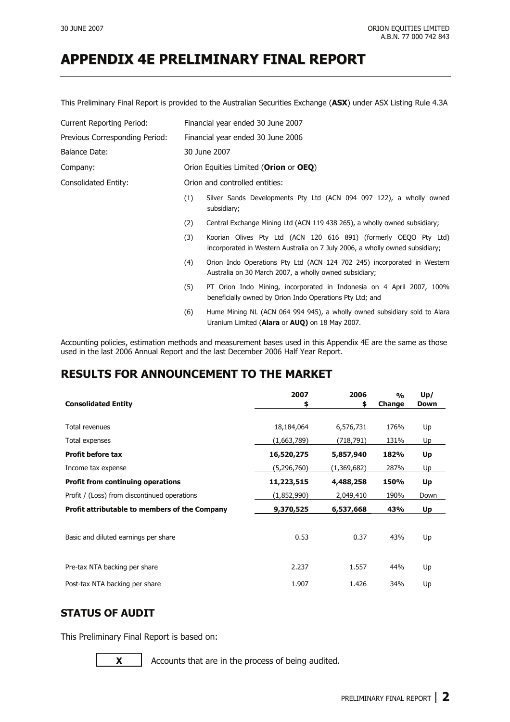This Preliminary Final Report is provided to the Australian Securities Exchange (**ASX**) under ASX Listing Rule 4.3A

| <b>Current Reporting Period:</b> |     | Financial year ended 30 June 2007                                                                                                                |  |  |  |  |
|----------------------------------|-----|--------------------------------------------------------------------------------------------------------------------------------------------------|--|--|--|--|
| Previous Corresponding Period:   |     | Financial year ended 30 June 2006                                                                                                                |  |  |  |  |
| <b>Balance Date:</b>             |     | 30 June 2007                                                                                                                                     |  |  |  |  |
| Company:                         |     | Orion Equities Limited (Orion or OEQ)                                                                                                            |  |  |  |  |
| Consolidated Entity:             |     | Orion and controlled entities:                                                                                                                   |  |  |  |  |
|                                  | (1) | Silver Sands Developments Pty Ltd (ACN 094 097 122), a wholly owned<br>subsidiary;                                                               |  |  |  |  |
|                                  | (2) | Central Exchange Mining Ltd (ACN 119 438 265), a wholly owned subsidiary;                                                                        |  |  |  |  |
|                                  | (3) | Koorian Olives Pty Ltd (ACN 120 616 891) (formerly OEQO Pty Ltd)<br>incorporated in Western Australia on 7 July 2006, a wholly owned subsidiary; |  |  |  |  |
|                                  | (4) | Orion Indo Operations Pty Ltd (ACN 124 702 245) incorporated in Western<br>Australia on 30 March 2007, a wholly owned subsidiary;                |  |  |  |  |
|                                  | (5) | PT Orion Indo Mining, incorporated in Indonesia on 4 April 2007, 100%<br>beneficially owned by Orion Indo Operations Pty Ltd; and                |  |  |  |  |
|                                  | (6) | Hume Mining NL (ACN 064 994 945), a wholly owned subsidiary sold to Alara<br>Uranium Limited (Alara or AUQ) on 18 May 2007.                      |  |  |  |  |

Accounting policies, estimation methods and measurement bases used in this Appendix 4E are the same as those used in the last 2006 Annual Report and the last December 2006 Half Year Report.

### **RESULTS FOR ANNOUNCEMENT TO THE MARKET**

| <b>Consolidated Entity</b>                    | 2007<br>\$  | 2006<br>\$  | $\frac{0}{0}$<br>Change | Up/<br><b>Down</b> |
|-----------------------------------------------|-------------|-------------|-------------------------|--------------------|
|                                               |             |             |                         |                    |
| Total revenues                                | 18,184,064  | 6,576,731   | 176%                    | Up                 |
| Total expenses                                | (1,663,789) | (718,791)   | 131%                    | Up                 |
| <b>Profit before tax</b>                      | 16,520,275  | 5,857,940   | 182%                    | Up                 |
| Income tax expense                            | (5,296,760) | (1,369,682) | 287%                    | Up                 |
| <b>Profit from continuing operations</b>      | 11,223,515  | 4,488,258   | 150%                    | Up                 |
| Profit / (Loss) from discontinued operations  | (1,852,990) | 2,049,410   | 190%                    | Down               |
| Profit attributable to members of the Company | 9,370,525   | 6,537,668   | 43%                     | Up                 |
| Basic and diluted earnings per share          | 0.53        | 0.37        | 43%                     | Up                 |
| Pre-tax NTA backing per share                 | 2.237       | 1.557       | 44%                     | Up                 |
| Post-tax NTA backing per share                | 1.907       | 1.426       | 34%                     | Up                 |

### **STATUS OF AUDIT**

This Preliminary Final Report is based on:

**X** Accounts that are in the process of being audited.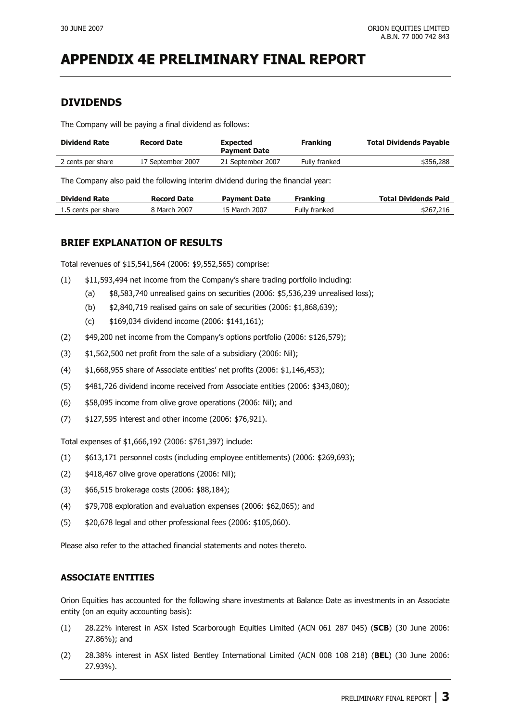### **DIVIDENDS**

The Company will be paying a final dividend as follows:

| <b>Dividend Rate</b> | <b>Record Date</b> | <b>Expected</b><br><b>Payment Date</b> | <b>Franking</b> | <b>Total Dividends Pavable</b> |
|----------------------|--------------------|----------------------------------------|-----------------|--------------------------------|
| 2 cents per share    | 17 September 2007  | 21 September 2007                      | Fully franked   | \$356,288                      |

The Company also paid the following interim dividend during the financial year:

| <b>Dividend Rate</b> | <b>Record Date</b> | <b>Payment Date</b> | Franking      | <b>Total Dividends Paid</b> |
|----------------------|--------------------|---------------------|---------------|-----------------------------|
| 1.5 cents per share  | 3 March 2007       | 15 March 2007       | Fully franked | \$267,216                   |

### **BRIEF EXPLANATION OF RESULTS**

Total revenues of \$15,541,564 (2006: \$9,552,565) comprise:

- (1) \$11,593,494 net income from the Company's share trading portfolio including:
	- (a) \$8,583,740 unrealised gains on securities (2006: \$5,536,239 unrealised loss);
	- (b) \$2,840,719 realised gains on sale of securities (2006: \$1,868,639);
	- (c) \$169,034 dividend income (2006: \$141,161);
- (2) \$49,200 net income from the Company's options portfolio (2006: \$126,579);
- (3) \$1,562,500 net profit from the sale of a subsidiary (2006: Nil);
- (4) \$1,668,955 share of Associate entities' net profits (2006: \$1,146,453);
- (5) \$481,726 dividend income received from Associate entities (2006: \$343,080);
- (6) \$58,095 income from olive grove operations (2006: Nil); and
- (7) \$127,595 interest and other income (2006: \$76,921).

Total expenses of \$1,666,192 (2006: \$761,397) include:

- (1) \$613,171 personnel costs (including employee entitlements) (2006: \$269,693);
- (2) \$418,467 olive grove operations (2006: Nil);
- (3) \$66,515 brokerage costs (2006: \$88,184);
- (4) \$79,708 exploration and evaluation expenses (2006: \$62,065); and
- (5) \$20,678 legal and other professional fees (2006: \$105,060).

Please also refer to the attached financial statements and notes thereto.

#### **ASSOCIATE ENTITIES**

Orion Equities has accounted for the following share investments at Balance Date as investments in an Associate entity (on an equity accounting basis):

- (1) 28.22% interest in ASX listed Scarborough Equities Limited (ACN 061 287 045) (**SCB**) (30 June 2006: 27.86%); and
- (2) 28.38% interest in ASX listed Bentley International Limited (ACN 008 108 218) (**BEL**) (30 June 2006: 27.93%).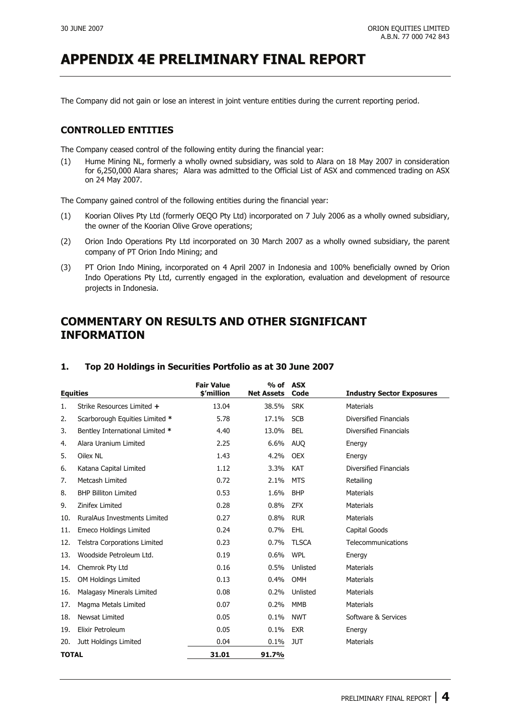The Company did not gain or lose an interest in joint venture entities during the current reporting period.

#### **CONTROLLED ENTITIES**

The Company ceased control of the following entity during the financial year:

(1) Hume Mining NL, formerly a wholly owned subsidiary, was sold to Alara on 18 May 2007 in consideration for 6,250,000 Alara shares; Alara was admitted to the Official List of ASX and commenced trading on ASX on 24 May 2007.

The Company gained control of the following entities during the financial year:

- (1) Koorian Olives Pty Ltd (formerly OEQO Pty Ltd) incorporated on 7 July 2006 as a wholly owned subsidiary, the owner of the Koorian Olive Grove operations;
- (2) Orion Indo Operations Pty Ltd incorporated on 30 March 2007 as a wholly owned subsidiary, the parent company of PT Orion Indo Mining; and
- (3) PT Orion Indo Mining, incorporated on 4 April 2007 in Indonesia and 100% beneficially owned by Orion Indo Operations Pty Ltd, currently engaged in the exploration, evaluation and development of resource projects in Indonesia.

### **COMMENTARY ON RESULTS AND OTHER SIGNIFICANT INFORMATION**

| <b>Equities</b> |                                     | <b>Fair Value</b><br>\$'million | $%$ of<br><b>Net Assets</b> | <b>ASX</b><br>Code | <b>Industry Sector Exposures</b> |
|-----------------|-------------------------------------|---------------------------------|-----------------------------|--------------------|----------------------------------|
| 1.              | Strike Resources Limited +          | 13.04                           | 38.5%                       | <b>SRK</b>         | <b>Materials</b>                 |
| 2.              | Scarborough Equities Limited *      | 5.78                            | 17.1%                       | <b>SCB</b>         | Diversified Financials           |
| 3.              | Bentley International Limited *     | 4.40                            | 13.0%                       | <b>BEL</b>         | <b>Diversified Financials</b>    |
| 4.              | Alara Uranium Limited               | 2.25                            | 6.6%                        | <b>AUO</b>         | Energy                           |
| 5.              | Oilex NL                            | 1.43                            | 4.2%                        | <b>OEX</b>         | Energy                           |
| 6.              | Katana Capital Limited              | 1.12                            | 3.3%                        | <b>KAT</b>         | <b>Diversified Financials</b>    |
| 7.              | Metcash Limited                     | 0.72                            | 2.1%                        | <b>MTS</b>         | Retailing                        |
| 8.              | <b>BHP Billiton Limited</b>         | 0.53                            | 1.6%                        | <b>BHP</b>         | <b>Materials</b>                 |
| 9.              | Zinifex Limited                     | 0.28                            | 0.8%                        | <b>ZFX</b>         | <b>Materials</b>                 |
| 10.             | <b>RuralAus Investments Limited</b> | 0.27                            | 0.8%                        | <b>RUR</b>         | <b>Materials</b>                 |
| 11.             | <b>Emeco Holdings Limited</b>       | 0.24                            | 0.7%                        | EHL                | Capital Goods                    |
| 12.             | <b>Telstra Corporations Limited</b> | 0.23                            | 0.7%                        | <b>TLSCA</b>       | Telecommunications               |
| 13.             | Woodside Petroleum Ltd.             | 0.19                            | 0.6%                        | <b>WPL</b>         | Energy                           |
| 14.             | Chemrok Pty Ltd                     | 0.16                            | 0.5%                        | Unlisted           | <b>Materials</b>                 |
| 15.             | OM Holdings Limited                 | 0.13                            | 0.4%                        | <b>OMH</b>         | <b>Materials</b>                 |
| 16.             | Malagasy Minerals Limited           | 0.08                            | 0.2%                        | Unlisted           | <b>Materials</b>                 |
| 17.             | Magma Metals Limited                | 0.07                            | 0.2%                        | <b>MMB</b>         | <b>Materials</b>                 |
| 18.             | Newsat Limited                      | 0.05                            | 0.1%                        | <b>NWT</b>         | Software & Services              |
| 19.             | Elixir Petroleum                    | 0.05                            | 0.1%                        | <b>EXR</b>         | Energy                           |
| 20.             | Jutt Holdings Limited               | 0.04                            | 0.1%                        | <b>JUT</b>         | <b>Materials</b>                 |
| <b>TOTAL</b>    |                                     | 31.01                           | 91.7%                       |                    |                                  |

#### **1. Top 20 Holdings in Securities Portfolio as at 30 June 2007**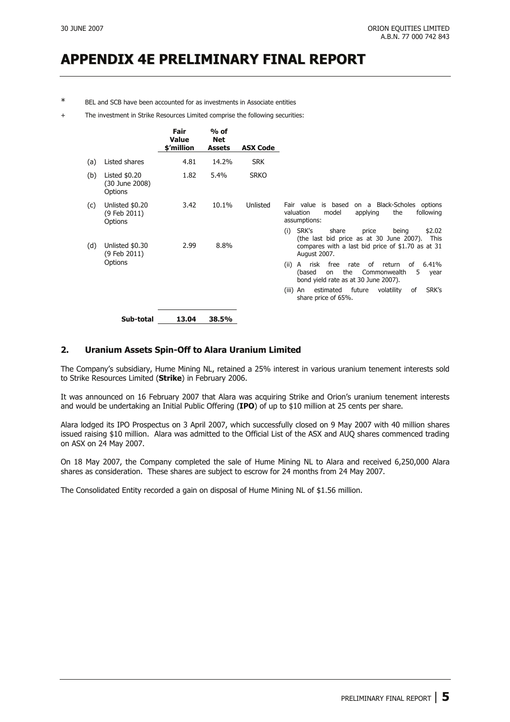BEL and SCB have been accounted for as investments in Associate entities

The investment in Strike Resources Limited comprise the following securities:

|     |                                             | Fair<br>Value<br>\$'million | $%$ of<br><b>Net</b><br><b>Assets</b> | <b>ASX Code</b> |                                                                                                                                                                                                                                             |
|-----|---------------------------------------------|-----------------------------|---------------------------------------|-----------------|---------------------------------------------------------------------------------------------------------------------------------------------------------------------------------------------------------------------------------------------|
| (a) | Listed shares                               | 4.81                        | 14.2%                                 | <b>SRK</b>      |                                                                                                                                                                                                                                             |
| (b) | Listed $$0.20$<br>(30 June 2008)<br>Options | 1.82                        | 5.4%                                  | <b>SRKO</b>     |                                                                                                                                                                                                                                             |
| (c) | Unlisted \$0.20<br>(9 Feb 2011)<br>Options  | 3.42                        | 10.1%                                 | Unlisted        | Fair value is based<br>on a Black-Scholes options<br>the<br>model<br>following<br>valuation<br>applying<br>assumptions:                                                                                                                     |
| (d) | Unlisted \$0.30<br>(9 Feb 2011)<br>Options  | 2.99                        | 8.8%                                  |                 | SRK's<br>share<br>\$2.02<br>(i)<br>price<br>being<br>(the last bid price as at 30 June 2007).<br>This<br>compares with a last bid price of \$1.70 as at 31<br>August 2007.<br>free<br>(ii)<br>A risk<br>rate<br>of<br>return<br>6.41%<br>of |
|     |                                             |                             |                                       |                 | the<br>Commonwealth<br>(based<br>5<br>on<br>year<br>bond yield rate as at 30 June 2007).                                                                                                                                                    |
|     |                                             |                             |                                       |                 | future<br>SRK's<br>estimated<br>volatility<br>of<br>(iii)<br>An<br>share price of 65%.                                                                                                                                                      |
|     | Sub-total                                   | 13.04                       | 38.5%                                 |                 |                                                                                                                                                                                                                                             |

#### **2. Uranium Assets Spin-Off to Alara Uranium Limited**

The Company's subsidiary, Hume Mining NL, retained a 25% interest in various uranium tenement interests sold to Strike Resources Limited (**Strike**) in February 2006.

It was announced on 16 February 2007 that Alara was acquiring Strike and Orion's uranium tenement interests and would be undertaking an Initial Public Offering (**IPO**) of up to \$10 million at 25 cents per share.

Alara lodged its IPO Prospectus on 3 April 2007, which successfully closed on 9 May 2007 with 40 million shares issued raising \$10 million. Alara was admitted to the Official List of the ASX and AUQ shares commenced trading on ASX on 24 May 2007.

On 18 May 2007, the Company completed the sale of Hume Mining NL to Alara and received 6,250,000 Alara shares as consideration. These shares are subject to escrow for 24 months from 24 May 2007.

The Consolidated Entity recorded a gain on disposal of Hume Mining NL of \$1.56 million.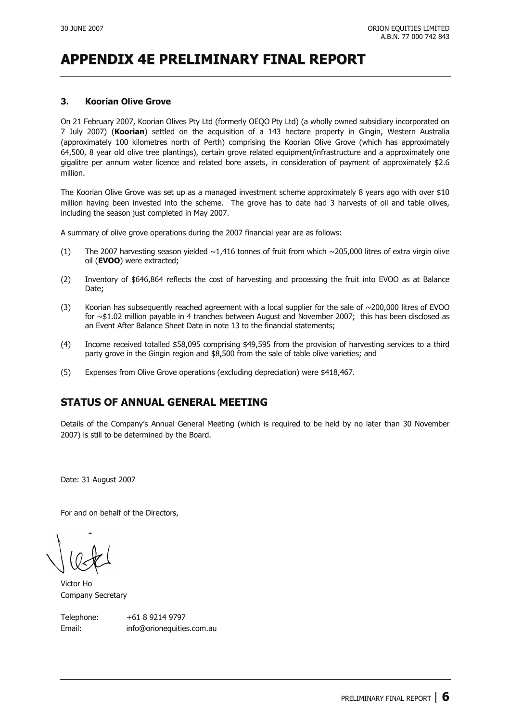#### **3. Koorian Olive Grove**

On 21 February 2007, Koorian Olives Pty Ltd (formerly OEQO Pty Ltd) (a wholly owned subsidiary incorporated on 7 July 2007) (**Koorian**) settled on the acquisition of a 143 hectare property in Gingin, Western Australia (approximately 100 kilometres north of Perth) comprising the Koorian Olive Grove (which has approximately 64,500, 8 year old olive tree plantings), certain grove related equipment/infrastructure and a approximately one gigalitre per annum water licence and related bore assets, in consideration of payment of approximately \$2.6 million.

The Koorian Olive Grove was set up as a managed investment scheme approximately 8 years ago with over \$10 million having been invested into the scheme. The grove has to date had 3 harvests of oil and table olives, including the season just completed in May 2007.

A summary of olive grove operations during the 2007 financial year are as follows:

- (1) The 2007 harvesting season yielded  $\sim$ 1,416 tonnes of fruit from which  $\sim$ 205,000 litres of extra virgin olive oil (**EVOO**) were extracted;
- (2) Inventory of \$646,864 reflects the cost of harvesting and processing the fruit into EVOO as at Balance Date:
- (3) Koorian has subsequently reached agreement with a local supplier for the sale of  $\sim$ 200,000 litres of EVOO for ~\$1.02 million payable in 4 tranches between August and November 2007; this has been disclosed as an Event After Balance Sheet Date in note 13 to the financial statements;
- (4) Income received totalled \$58,095 comprising \$49,595 from the provision of harvesting services to a third party grove in the Gingin region and \$8,500 from the sale of table olive varieties; and
- (5) Expenses from Olive Grove operations (excluding depreciation) were \$418,467.

### **STATUS OF ANNUAL GENERAL MEETING**

Details of the Company's Annual General Meeting (which is required to be held by no later than 30 November 2007) is still to be determined by the Board.

Date: 31 August 2007

For and on behalf of the Directors,

Victor Ho Company Secretary

Telephone: +61 8 9214 9797 Email: info@orionequities.com.au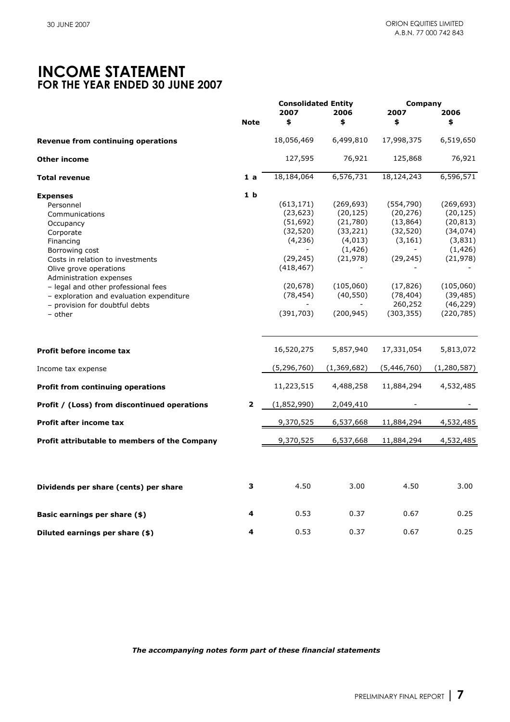### **INCOME STATEMENT FOR THE YEAR ENDED 30 JUNE 2007**

|                                                                                                                                                                                                                                                                                                                                  | <b>Note</b>    | <b>Consolidated Entity</b><br>2007<br>\$                                                                                        | 2006<br>\$                                                                                                                    | Company<br>2007<br>\$                                                                                                         | 2006<br>\$                                                                                                                                 |
|----------------------------------------------------------------------------------------------------------------------------------------------------------------------------------------------------------------------------------------------------------------------------------------------------------------------------------|----------------|---------------------------------------------------------------------------------------------------------------------------------|-------------------------------------------------------------------------------------------------------------------------------|-------------------------------------------------------------------------------------------------------------------------------|--------------------------------------------------------------------------------------------------------------------------------------------|
|                                                                                                                                                                                                                                                                                                                                  |                |                                                                                                                                 |                                                                                                                               |                                                                                                                               |                                                                                                                                            |
| Revenue from continuing operations                                                                                                                                                                                                                                                                                               |                | 18,056,469                                                                                                                      | 6,499,810                                                                                                                     | 17,998,375                                                                                                                    | 6,519,650                                                                                                                                  |
| <b>Other income</b>                                                                                                                                                                                                                                                                                                              |                | 127,595                                                                                                                         | 76,921                                                                                                                        | 125,868                                                                                                                       | 76,921                                                                                                                                     |
| <b>Total revenue</b>                                                                                                                                                                                                                                                                                                             | 1a             | 18,184,064                                                                                                                      | 6,576,731                                                                                                                     | 18,124,243                                                                                                                    | 6,596,571                                                                                                                                  |
| <b>Expenses</b><br>Personnel<br>Communications<br>Occupancy<br>Corporate<br>Financing<br>Borrowing cost<br>Costs in relation to investments<br>Olive grove operations<br>Administration expenses<br>- legal and other professional fees<br>- exploration and evaluation expenditure<br>- provision for doubtful debts<br>- other | 1 <sub>b</sub> | (613, 171)<br>(23, 623)<br>(51, 692)<br>(32, 520)<br>(4, 236)<br>(29, 245)<br>(418, 467)<br>(20, 678)<br>(78, 454)<br>(391,703) | (269, 693)<br>(20, 125)<br>(21,780)<br>(33, 221)<br>(4, 013)<br>(1, 426)<br>(21, 978)<br>(105,060)<br>(40, 550)<br>(200, 945) | (554, 790)<br>(20, 276)<br>(13, 864)<br>(32, 520)<br>(3, 161)<br>(29, 245)<br>(17, 826)<br>(78, 404)<br>260,252<br>(303, 355) | (269, 693)<br>(20, 125)<br>(20, 813)<br>(34, 074)<br>(3,831)<br>(1, 426)<br>(21, 978)<br>(105,060)<br>(39, 485)<br>(46, 229)<br>(220, 785) |
| Profit before income tax                                                                                                                                                                                                                                                                                                         |                | 16,520,275                                                                                                                      | 5,857,940                                                                                                                     | 17,331,054                                                                                                                    | 5,813,072                                                                                                                                  |
| Income tax expense                                                                                                                                                                                                                                                                                                               |                | (5, 296, 760)                                                                                                                   | (1,369,682)                                                                                                                   | (5,446,760)                                                                                                                   | (1, 280, 587)                                                                                                                              |
| <b>Profit from continuing operations</b>                                                                                                                                                                                                                                                                                         |                | 11,223,515                                                                                                                      | 4,488,258                                                                                                                     | 11,884,294                                                                                                                    | 4,532,485                                                                                                                                  |
| Profit / (Loss) from discontinued operations                                                                                                                                                                                                                                                                                     | $\mathbf{2}$   | (1,852,990)                                                                                                                     | 2,049,410                                                                                                                     |                                                                                                                               |                                                                                                                                            |
| <b>Profit after income tax</b>                                                                                                                                                                                                                                                                                                   |                | 9,370,525                                                                                                                       | 6,537,668                                                                                                                     | 11,884,294                                                                                                                    | 4,532,485                                                                                                                                  |
| Profit attributable to members of the Company                                                                                                                                                                                                                                                                                    |                | 9,370,525                                                                                                                       | 6,537,668                                                                                                                     | 11,884,294                                                                                                                    | 4,532,485                                                                                                                                  |
| Dividends per share (cents) per share                                                                                                                                                                                                                                                                                            | 3              | 4.50                                                                                                                            | 3.00                                                                                                                          | 4.50                                                                                                                          | 3.00                                                                                                                                       |
| Basic earnings per share (\$)                                                                                                                                                                                                                                                                                                    | 4              | 0.53                                                                                                                            | 0.37                                                                                                                          | 0.67                                                                                                                          | 0.25                                                                                                                                       |
| Diluted earnings per share (\$)                                                                                                                                                                                                                                                                                                  | 4              | 0.53                                                                                                                            | 0.37                                                                                                                          | 0.67                                                                                                                          | 0.25                                                                                                                                       |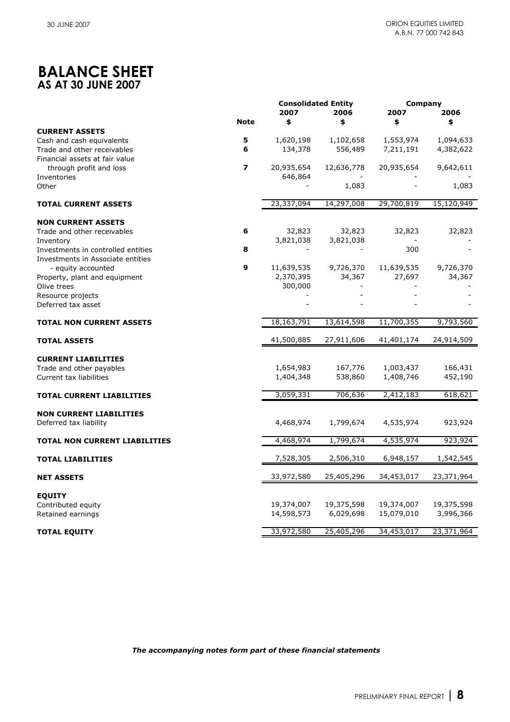# **BALANCE SHEET AS AT 30 JUNE 2007**

|                                      |                         |                          | <b>Consolidated Entity</b><br>2007<br>2006 |                          | Company<br>2006         |
|--------------------------------------|-------------------------|--------------------------|--------------------------------------------|--------------------------|-------------------------|
|                                      | <b>Note</b>             | \$                       | \$                                         | 2007<br>\$               | \$                      |
| <b>CURRENT ASSETS</b>                |                         |                          |                                            |                          |                         |
| Cash and cash equivalents            | 5                       | 1,620,198                | 1,102,658                                  | 1,553,974                | 1,094,633               |
| Trade and other receivables          | 6                       | 134,378                  | 556,489                                    | 7,211,191                | 4,382,622               |
| Financial assets at fair value       |                         |                          |                                            |                          |                         |
| through profit and loss              | $\overline{\mathbf{z}}$ | 20,935,654               | 12,636,778                                 | 20,935,654               | 9,642,611               |
| Inventories                          |                         | 646,864                  |                                            |                          |                         |
| Other                                |                         |                          | 1,083                                      |                          | 1,083                   |
| <b>TOTAL CURRENT ASSETS</b>          |                         | 23,337,094               | 14,297,008                                 | 29,700,819               | 15,120,949              |
| <b>NON CURRENT ASSETS</b>            |                         |                          |                                            |                          |                         |
| Trade and other receivables          | 6                       | 32,823                   | 32,823                                     | 32,823                   | 32,823                  |
| Inventory                            |                         | 3,821,038                | 3,821,038                                  |                          |                         |
| Investments in controlled entities   | 8                       |                          |                                            | 300                      |                         |
| Investments in Associate entities    |                         |                          |                                            |                          |                         |
| - equity accounted                   | 9                       | 11,639,535               | 9,726,370                                  | 11,639,535               | 9,726,370               |
| Property, plant and equipment        |                         | 2,370,395                | 34,367                                     | 27,697                   | 34,367                  |
| Olive trees                          |                         | 300,000                  |                                            |                          |                         |
| Resource projects                    |                         |                          |                                            |                          |                         |
| Deferred tax asset                   |                         |                          |                                            |                          |                         |
| <b>TOTAL NON CURRENT ASSETS</b>      |                         | 18, 163, 791             | 13,614,598                                 | 11,700,355               | 9,793,560               |
| <b>TOTAL ASSETS</b>                  |                         | 41,500,885               | 27,911,606                                 | 41,401,174               | 24,914,509              |
| <b>CURRENT LIABILITIES</b>           |                         |                          |                                            |                          |                         |
| Trade and other payables             |                         | 1,654,983                | 167,776                                    | 1,003,437                | 166,431                 |
| Current tax liabilities              |                         | 1,404,348                | 538,860                                    | 1,408,746                | 452,190                 |
|                                      |                         |                          |                                            |                          |                         |
| <b>TOTAL CURRENT LIABILITIES</b>     |                         | 3,059,331                | 706,636                                    | 2,412,183                | 618,621                 |
| <b>NON CURRENT LIABILITIES</b>       |                         |                          |                                            |                          |                         |
| Deferred tax liability               |                         | 4,468,974                | 1,799,674                                  | 4,535,974                | 923,924                 |
|                                      |                         |                          |                                            |                          |                         |
| <b>TOTAL NON CURRENT LIABILITIES</b> |                         | 4,468,974                | 1,799,674                                  | 4,535,974                | 923,924                 |
| <b>TOTAL LIABILITIES</b>             |                         | 7,528,305                | 2,506,310                                  | 6,948,157                | 1,542,545               |
| <b>NET ASSETS</b>                    |                         | 33,972,580               | 25,405,296                                 | 34,453,017               | 23,371,964              |
|                                      |                         |                          |                                            |                          |                         |
| <b>EQUITY</b>                        |                         |                          |                                            |                          |                         |
| Contributed equity                   |                         | 19,374,007<br>14,598,573 | 19,375,598<br>6,029,698                    | 19,374,007<br>15,079,010 | 19,375,598<br>3,996,366 |
| Retained earnings                    |                         |                          |                                            |                          |                         |
| <b>TOTAL EQUITY</b>                  |                         | 33,972,580               | 25,405,296                                 | 34,453,017               | 23,371,964              |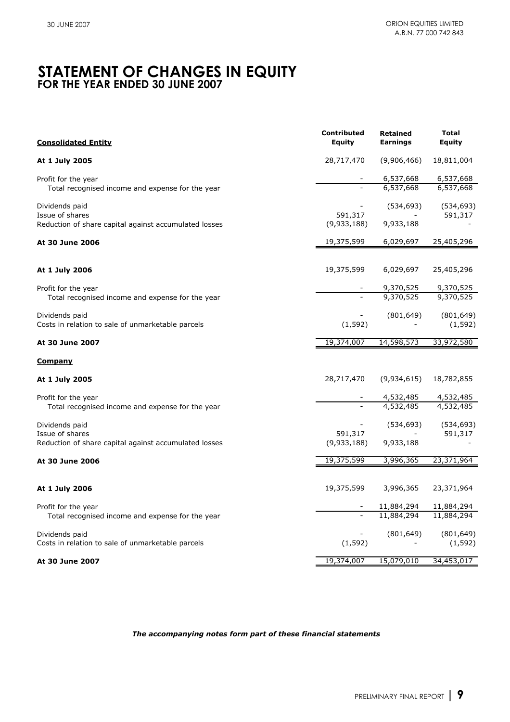### **STATEMENT OF CHANGES IN EQUITY FOR THE YEAR ENDED 30 JUNE 2007**

| <b>Consolidated Entity</b>                                               | Contributed<br>Equity | <b>Retained</b><br><b>Earnings</b> | <b>Total</b><br>Equity |
|--------------------------------------------------------------------------|-----------------------|------------------------------------|------------------------|
| At 1 July 2005                                                           | 28,717,470            | (9,906,466)                        | 18,811,004             |
| Profit for the year                                                      |                       | 6,537,668                          | 6,537,668              |
| Total recognised income and expense for the year                         |                       | 6,537,668                          | 6,537,668              |
| Dividends paid                                                           | 591,317               | (534, 693)                         | (534, 693)             |
| Issue of shares<br>Reduction of share capital against accumulated losses | (9,933,188)           | 9,933,188                          | 591,317                |
| At 30 June 2006                                                          | 19,375,599            | 6,029,697                          | 25,405,296             |
| At 1 July 2006                                                           | 19,375,599            | 6,029,697                          | 25,405,296             |
| Profit for the year                                                      |                       | 9,370,525                          | 9,370,525              |
| Total recognised income and expense for the year                         |                       | 9,370,525                          | 9,370,525              |
| Dividends paid<br>Costs in relation to sale of unmarketable parcels      | (1, 592)              | (801, 649)                         | (801, 649)<br>(1, 592) |
| At 30 June 2007                                                          | 19,374,007            | 14,598,573                         | 33,972,580             |
| <b>Company</b>                                                           |                       |                                    |                        |
| At 1 July 2005                                                           | 28,717,470            | (9,934,615)                        | 18,782,855             |
| Profit for the year                                                      |                       | 4,532,485                          | 4,532,485              |
| Total recognised income and expense for the year                         |                       | 4,532,485                          | 4,532,485              |
| Dividends paid<br>Issue of shares                                        | 591,317               | (534, 693)                         | (534, 693)<br>591,317  |
| Reduction of share capital against accumulated losses                    | (9,933,188)           | 9,933,188                          |                        |
| At 30 June 2006                                                          | 19,375,599            | 3,996,365                          | 23,371,964             |
| At 1 July 2006                                                           | 19,375,599            | 3,996,365                          | 23,371,964             |
| Profit for the year                                                      |                       | 11,884,294                         | 11,884,294             |
| Total recognised income and expense for the year                         |                       | 11,884,294                         | 11,884,294             |
| Dividends paid<br>Costs in relation to sale of unmarketable parcels      | (1, 592)              | (801, 649)                         | (801, 649)<br>(1, 592) |
| At 30 June 2007                                                          | 19,374,007            | 15,079,010                         | 34,453,017             |
|                                                                          |                       |                                    |                        |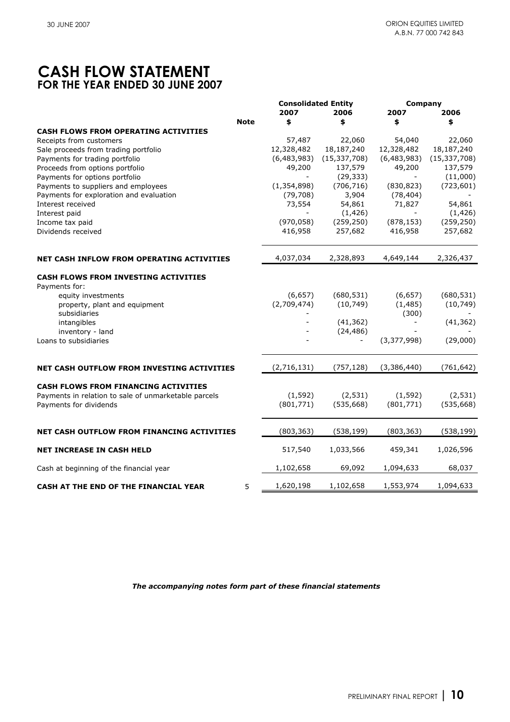# **CASH FLOW STATEMENT FOR THE YEAR ENDED 30 JUNE 2007**

|                                                      |             | <b>Consolidated Entity</b><br>2007 | 2006                     | Company<br>2007 | 2006           |
|------------------------------------------------------|-------------|------------------------------------|--------------------------|-----------------|----------------|
|                                                      | <b>Note</b> | \$                                 | \$                       | \$              | \$             |
| <b>CASH FLOWS FROM OPERATING ACTIVITIES</b>          |             |                                    |                          |                 |                |
| Receipts from customers                              |             | 57,487                             | 22,060                   | 54,040          | 22,060         |
| Sale proceeds from trading portfolio                 |             | 12,328,482                         | 18,187,240               | 12,328,482      | 18,187,240     |
| Payments for trading portfolio                       |             | (6,483,983)                        | (15, 337, 708)           | (6,483,983)     | (15, 337, 708) |
| Proceeds from options portfolio                      |             | 49,200                             | 137,579                  | 49,200          | 137,579        |
| Payments for options portfolio                       |             |                                    | (29, 333)                |                 | (11,000)       |
| Payments to suppliers and employees                  |             | (1, 354, 898)                      | (706, 716)               | (830, 823)      | (723, 601)     |
| Payments for exploration and evaluation              |             | (79, 708)                          | 3,904                    | (78, 404)       |                |
| Interest received                                    |             | 73,554                             | 54,861                   | 71,827          | 54,861         |
| Interest paid                                        |             |                                    | (1, 426)                 |                 | (1, 426)       |
| Income tax paid                                      |             | (970, 058)                         | (259, 250)               | (878, 153)      | (259, 250)     |
| Dividends received                                   |             | 416,958                            | 257,682                  | 416,958         | 257,682        |
| <b>NET CASH INFLOW FROM OPERATING ACTIVITIES</b>     |             | 4,037,034                          | 2,328,893                | 4,649,144       | 2,326,437      |
| <b>CASH FLOWS FROM INVESTING ACTIVITIES</b>          |             |                                    |                          |                 |                |
| Payments for:                                        |             |                                    |                          |                 |                |
| equity investments                                   |             | (6,657)                            | (680, 531)               | (6,657)         | (680, 531)     |
| property, plant and equipment                        |             | (2,709,474)                        | (10, 749)                | (1, 485)        | (10, 749)      |
| subsidiaries                                         |             |                                    |                          | (300)           |                |
| intangibles                                          |             |                                    | (41, 362)                |                 | (41, 362)      |
| inventory - land                                     |             |                                    | (24, 486)                |                 |                |
| Loans to subsidiaries                                |             |                                    | $\overline{\phantom{a}}$ | (3,377,998)     | (29,000)       |
| NET CASH OUTFLOW FROM INVESTING ACTIVITIES           |             | (2,716,131)                        | (757, 128)               | (3,386,440)     | (761, 642)     |
|                                                      |             |                                    |                          |                 |                |
| <b>CASH FLOWS FROM FINANCING ACTIVITIES</b>          |             |                                    |                          |                 |                |
| Payments in relation to sale of unmarketable parcels |             | (1, 592)                           | (2, 531)                 | (1, 592)        | (2, 531)       |
| Payments for dividends                               |             | (801, 771)                         | (535, 668)               | (801, 771)      | (535, 668)     |
| NET CASH OUTFLOW FROM FINANCING ACTIVITIES           |             | (803, 363)                         | (538, 199)               | (803, 363)      | (538, 199)     |
| <b>NET INCREASE IN CASH HELD</b>                     |             | 517,540                            | 1,033,566                | 459,341         | 1,026,596      |
| Cash at beginning of the financial year              |             | 1,102,658                          | 69,092                   | 1,094,633       | 68,037         |
| CASH AT THE END OF THE FINANCIAL YEAR                | 5           | 1,620,198                          | 1,102,658                | 1,553,974       | 1,094,633      |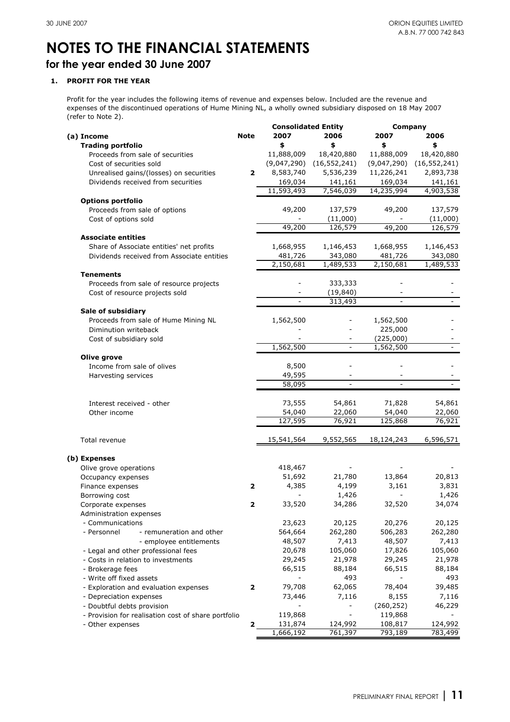### **for the year ended 30 June 2007**

#### **1. PROFIT FOR THE YEAR**

Profit for the year includes the following items of revenue and expenses below. Included are the revenue and expenses of the discontinued operations of Hume Mining NL, a wholly owned subsidiary disposed on 18 May 2007 (refer to Note 2).

|                                                     |             | <b>Consolidated Entity</b> |                | Company        |                |
|-----------------------------------------------------|-------------|----------------------------|----------------|----------------|----------------|
| (a) Income                                          | <b>Note</b> | 2007                       | 2006           | 2007           | 2006           |
| <b>Trading portfolio</b>                            |             | \$                         | \$             | \$             | \$             |
| Proceeds from sale of securities                    |             | 11,888,009                 | 18,420,880     | 11,888,009     | 18,420,880     |
| Cost of securities sold                             |             | (9,047,290)                | (16, 552, 241) | (9,047,290)    | (16, 552, 241) |
| Unrealised gains/(losses) on securities             | 2           | 8,583,740                  | 5,536,239      | 11,226,241     | 2,893,738      |
| Dividends received from securities                  |             | 169,034                    | 141,161        | 169,034        | 141,161        |
|                                                     |             | 11,593,493                 | 7,546,039      | 14,235,994     | 4,903,538      |
| <b>Options portfolio</b>                            |             |                            |                |                |                |
| Proceeds from sale of options                       |             | 49,200                     | 137,579        | 49,200         | 137,579        |
| Cost of options sold                                |             |                            | (11,000)       |                | (11,000)       |
|                                                     |             | 49,200                     | 126,579        | 49,200         | 126,579        |
|                                                     |             |                            |                |                |                |
| <b>Associate entities</b>                           |             |                            |                |                |                |
| Share of Associate entities' net profits            |             | 1,668,955                  | 1,146,453      | 1,668,955      | 1,146,453      |
| Dividends received from Associate entities          |             | 481,726                    | 343,080        | 481,726        | 343,080        |
|                                                     |             | 2,150,681                  | 1,489,533      | 2,150,681      | 1,489,533      |
| <b>Tenements</b>                                    |             |                            |                |                |                |
| Proceeds from sale of resource projects             |             |                            | 333,333        |                |                |
| Cost of resource projects sold                      |             |                            | (19, 840)      |                |                |
|                                                     |             | $\overline{\phantom{0}}$   | 313,493        | $\overline{a}$ |                |
| Sale of subsidiary                                  |             |                            |                |                |                |
| Proceeds from sale of Hume Mining NL                |             | 1,562,500                  |                | 1,562,500      |                |
| Diminution writeback                                |             |                            |                | 225,000        |                |
| Cost of subsidiary sold                             |             |                            |                | (225,000)      |                |
|                                                     |             | 1,562,500                  |                | 1,562,500      |                |
| Olive grove                                         |             |                            |                |                |                |
| Income from sale of olives                          |             | 8,500                      |                |                |                |
| Harvesting services                                 |             | 49,595                     |                |                |                |
|                                                     |             | 58,095                     | $\blacksquare$ | $\overline{a}$ |                |
|                                                     |             |                            |                |                |                |
| Interest received - other                           |             | 73,555                     | 54,861         | 71,828         | 54,861         |
| Other income                                        |             | 54,040                     | 22,060         | 54,040         | 22,060         |
|                                                     |             | 127,595                    | 76,921         | 125,868        | 76,921         |
|                                                     |             |                            |                |                |                |
| Total revenue                                       |             | 15,541,564                 | 9,552,565      | 18,124,243     | 6,596,571      |
|                                                     |             |                            |                |                |                |
| (b) Expenses                                        |             |                            |                |                |                |
| Olive grove operations                              |             | 418,467                    |                |                |                |
| Occupancy expenses                                  |             | 51,692                     | 21,780         | 13,864         | 20,813         |
| Finance expenses                                    | 2           | 4,385                      | 4,199          | 3,161          | 3,831          |
| Borrowing cost                                      |             |                            | 1,426          |                | 1,426          |
| Corporate expenses                                  | 2           | 33,520                     | 34,286         | 32,520         | 34,074         |
| Administration expenses                             |             |                            |                |                |                |
| - Communications                                    |             | 23,623                     | 20,125         | 20,276         | 20,125         |
| - remuneration and other<br>- Personnel             |             | 564,664                    | 262,280        | 506,283        | 262,280        |
| - employee entitlements                             |             | 48,507                     | 7,413          | 48,507         | 7,413          |
| - Legal and other professional fees                 |             | 20,678                     | 105,060        | 17,826         | 105,060        |
| - Costs in relation to investments                  |             | 29,245                     | 21,978         | 29,245         | 21,978         |
| - Brokerage fees                                    |             | 66,515                     | 88,184         | 66,515         | 88,184         |
| - Write off fixed assets                            |             |                            | 493            |                | 493            |
| - Exploration and evaluation expenses               | 2           | 79,708                     | 62,065         | 78,404         | 39,485         |
| - Depreciation expenses                             |             | 73,446                     | 7,116          | 8,155          | 7,116          |
|                                                     |             |                            |                |                | 46,229         |
| - Doubtful debts provision                          |             |                            |                | (260, 252)     |                |
| - Provision for realisation cost of share portfolio |             | 119,868                    |                | 119,868        |                |
| - Other expenses                                    | 2           | 131,874                    | 124,992        | 108,817        | 124,992        |
|                                                     |             | 1,666,192                  | 761,397        | 793,189        | 783,499        |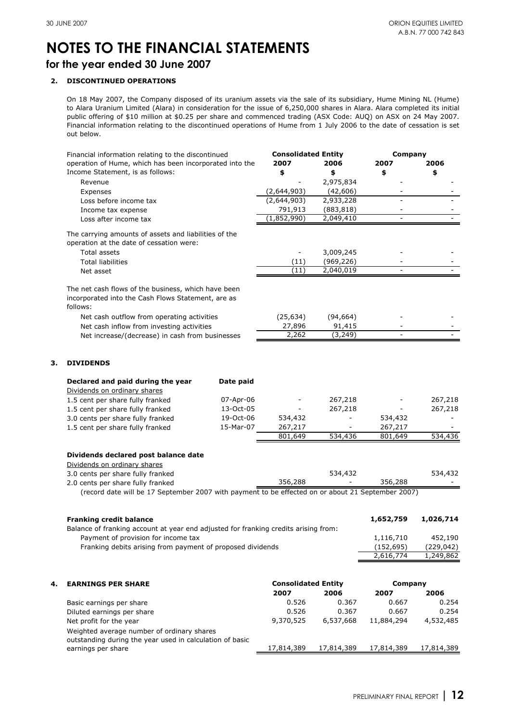**3. DIVIDENDS**

# **NOTES TO THE FINANCIAL STATEMENTS**

**for the year ended 30 June 2007**

#### **2. DISCONTINUED OPERATIONS**

On 18 May 2007, the Company disposed of its uranium assets via the sale of its subsidiary, Hume Mining NL (Hume) to Alara Uranium Limited (Alara) in consideration for the issue of 6,250,000 shares in Alara. Alara completed its initial public offering of \$10 million at \$0.25 per share and commenced trading (ASX Code: AUQ) on ASX on 24 May 2007. Financial information relating to the discontinued operations of Hume from 1 July 2006 to the date of cessation is set out below.

|    | Financial information relating to the discontinued                                                                    |           | <b>Consolidated Entity</b> |                          | Company        |            |
|----|-----------------------------------------------------------------------------------------------------------------------|-----------|----------------------------|--------------------------|----------------|------------|
|    | operation of Hume, which has been incorporated into the                                                               |           | 2007                       | 2006                     | 2007           | 2006       |
|    | Income Statement, is as follows:                                                                                      |           | \$                         | \$                       | \$             | \$         |
|    | Revenue                                                                                                               |           |                            | 2,975,834                |                |            |
|    | Expenses                                                                                                              |           | (2,644,903)                | (42,606)                 |                |            |
|    | Loss before income tax                                                                                                |           | (2,644,903)                | 2,933,228                |                |            |
|    | Income tax expense                                                                                                    |           | 791,913                    | (883, 818)               |                |            |
|    | Loss after income tax                                                                                                 |           | (1,852,990)                | 2,049,410                | $\overline{a}$ |            |
|    | The carrying amounts of assets and liabilities of the<br>operation at the date of cessation were:                     |           |                            |                          |                |            |
|    | Total assets                                                                                                          |           |                            | 3,009,245                |                |            |
|    | <b>Total liabilities</b>                                                                                              |           | (11)                       | (969, 226)               |                |            |
|    | Net asset                                                                                                             |           | (11)                       | 2,040,019                |                |            |
|    |                                                                                                                       |           |                            |                          |                |            |
|    | The net cash flows of the business, which have been<br>incorporated into the Cash Flows Statement, are as<br>follows: |           |                            |                          |                |            |
|    | Net cash outflow from operating activities                                                                            |           | (25, 634)                  | (94, 664)                |                |            |
|    | Net cash inflow from investing activities                                                                             |           | 27,896                     | 91,415                   |                |            |
|    | Net increase/(decrease) in cash from businesses                                                                       |           | 2,262                      | (3, 249)                 |                |            |
| З. | <b>DIVIDENDS</b>                                                                                                      |           |                            |                          |                |            |
|    |                                                                                                                       |           |                            |                          |                |            |
|    | Declared and paid during the year<br>Dividends on ordinary shares                                                     | Date paid |                            |                          |                |            |
|    | 1.5 cent per share fully franked                                                                                      | 07-Apr-06 |                            | 267,218                  |                | 267,218    |
|    | 1.5 cent per share fully franked                                                                                      | 13-Oct-05 |                            | 267,218                  |                | 267,218    |
|    | 3.0 cents per share fully franked                                                                                     | 19-Oct-06 | 534,432                    | $\overline{\phantom{0}}$ | 534,432        |            |
|    | 1.5 cent per share fully franked                                                                                      | 15-Mar-07 | 267,217                    |                          | 267,217        |            |
|    |                                                                                                                       |           | 801,649                    | 534,436                  | 801,649        | 534,436    |
|    | Dividends declared post balance date                                                                                  |           |                            |                          |                |            |
|    | Dividends on ordinary shares                                                                                          |           |                            |                          |                |            |
|    | 3.0 cents per share fully franked                                                                                     |           |                            | 534,432                  |                | 534,432    |
|    | 2.0 cents per share fully franked                                                                                     |           | 356,288                    |                          | 356,288        |            |
|    | (record date will be 17 September 2007 with payment to be effected on or about 21 September 2007)                     |           |                            |                          |                |            |
|    |                                                                                                                       |           |                            |                          |                |            |
|    | <b>Franking credit balance</b>                                                                                        |           |                            |                          | 1,652,759      | 1,026,714  |
|    | Balance of franking account at year end adjusted for franking credits arising from:                                   |           |                            |                          |                |            |
|    | Payment of provision for income tax                                                                                   |           |                            |                          | 1,116,710      | 452,190    |
|    | Franking debits arising from payment of proposed dividends                                                            |           |                            |                          | (152, 695)     | (229, 042) |
|    |                                                                                                                       |           |                            |                          | 2,616,774      | 1,249,862  |
|    |                                                                                                                       |           |                            |                          |                |            |
| 4. | <b>EARNINGS PER SHARE</b>                                                                                             |           | <b>Consolidated Entity</b> |                          | Company        |            |
|    |                                                                                                                       |           | 2007                       | 2006                     | 2007           | 2006       |
|    | Basic earnings per share                                                                                              |           | 0.526                      | 0.367                    | 0.667          | 0.254      |
|    | Diluted earnings per share                                                                                            |           | 0.526                      | 0.367                    | 0.667          | 0.254      |
|    | Net profit for the year                                                                                               |           | 9,370,525                  | 6,537,668                | 11,884,294     | 4,532,485  |
|    | Weighted average number of ordinary shares                                                                            |           |                            |                          |                |            |
|    | outstanding during the year used in calculation of basic                                                              |           |                            |                          |                |            |
|    | earnings per share                                                                                                    |           | 17,814,389                 | 17,814,389               | 17,814,389     | 17,814,389 |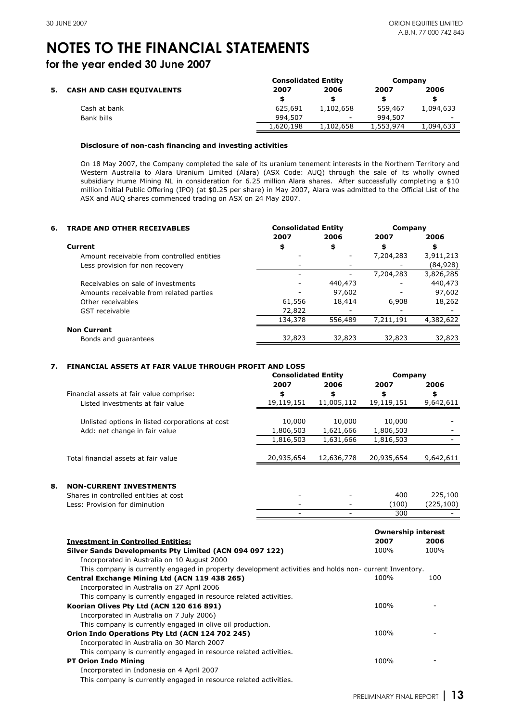**for the year ended 30 June 2007**

|                                  | <b>Consolidated Entity</b> |                          | Company   |                          |
|----------------------------------|----------------------------|--------------------------|-----------|--------------------------|
| <b>CASH AND CASH EQUIVALENTS</b> | 2007                       | 2006                     | 2007      | 2006                     |
|                                  |                            |                          |           | S                        |
| Cash at bank                     | 625,691                    | 1,102,658                | 559,467   | 1,094,633                |
| Bank bills                       | 994.507                    | $\overline{\phantom{a}}$ | 994,507   | $\overline{\phantom{0}}$ |
|                                  | 1,620,198                  | 1,102,658                | 1,553,974 | 1,094,633                |

#### **Disclosure of non-cash financing and investing activities**

On 18 May 2007, the Company completed the sale of its uranium tenement interests in the Northern Territory and Western Australia to Alara Uranium Limited (Alara) (ASX Code: AUQ) through the sale of its wholly owned subsidiary Hume Mining NL in consideration for 6.25 million Alara shares. After successfully completing a \$10 million Initial Public Offering (IPO) (at \$0.25 per share) in May 2007, Alara was admitted to the Official List of the ASX and AUQ shares commenced trading on ASX on 24 May 2007.

| 6. | <b>TRADE AND OTHER RECEIVABLES</b>         | <b>Consolidated Entity</b> |         | Company   |           |
|----|--------------------------------------------|----------------------------|---------|-----------|-----------|
|    |                                            | 2007                       | 2006    | 2007      | 2006      |
|    | Current                                    | \$                         | \$      | \$        | \$        |
|    | Amount receivable from controlled entities |                            |         | 7,204,283 | 3,911,213 |
|    | Less provision for non recovery            |                            |         |           | (84, 928) |
|    |                                            |                            |         | 7,204,283 | 3,826,285 |
|    | Receivables on sale of investments         |                            | 440,473 |           | 440,473   |
|    | Amounts receivable from related parties    |                            | 97,602  |           | 97,602    |
|    | Other receivables                          | 61,556                     | 18,414  | 6,908     | 18,262    |
|    | GST receivable                             | 72,822                     |         |           |           |
|    |                                            | 134,378                    | 556,489 | 7,211,191 | 4,382,622 |
|    | <b>Non Current</b>                         |                            |         |           |           |
|    | Bonds and quarantees                       | 32,823                     | 32,823  | 32,823    | 32,823    |

#### **7. FINANCIAL ASSETS AT FAIR VALUE THROUGH PROFIT AND LOSS**

|                                                 | <b>Consolidated Entity</b> |            | Company    |           |
|-------------------------------------------------|----------------------------|------------|------------|-----------|
|                                                 | 2007                       | 2006       | 2007       | 2006      |
| Financial assets at fair value comprise:        | \$                         | \$         | \$         | \$        |
| Listed investments at fair value                | 19,119,151                 | 11,005,112 | 19,119,151 | 9,642,611 |
|                                                 |                            |            |            |           |
| Unlisted options in listed corporations at cost | 10,000                     | 10,000     | 10,000     |           |
| Add: net change in fair value                   | 1,806,503                  | 1,621,666  | 1,806,503  |           |
|                                                 | 1,816,503                  | 1,631,666  | 1,816,503  |           |
|                                                 |                            |            |            |           |
| Total financial assets at fair value            | 20,935,654                 | 12,636,778 | 20,935,654 | 9,642,611 |
|                                                 |                            |            |            |           |
|                                                 |                            |            |            |           |

#### **8. NON-CURRENT INVESTMENTS**

| Shares in controlled entities at cost |                          | 400   | 225,100   |
|---------------------------------------|--------------------------|-------|-----------|
| Less: Provision for diminution        | $\overline{\phantom{0}}$ | (100) | (225.100) |
|                                       | -                        | 300   | -         |

|                                                                                                        |      | <b>Ownership interest</b> |
|--------------------------------------------------------------------------------------------------------|------|---------------------------|
| <b>Investment in Controlled Entities:</b>                                                              | 2007 | 2006                      |
| Silver Sands Developments Pty Limited (ACN 094 097 122)                                                | 100% | 100%                      |
| Incorporated in Australia on 10 August 2000                                                            |      |                           |
| This company is currently engaged in property development activities and holds non- current Inventory. |      |                           |
| Central Exchange Mining Ltd (ACN 119 438 265)                                                          | 100% | 100                       |
| Incorporated in Australia on 27 April 2006                                                             |      |                           |
| This company is currently engaged in resource related activities.                                      |      |                           |
| Koorian Olives Pty Ltd (ACN 120 616 891)                                                               | 100% |                           |
| Incorporated in Australia on 7 July 2006)                                                              |      |                           |
| This company is currently engaged in olive oil production.                                             |      |                           |
| Orion Indo Operations Pty Ltd (ACN 124 702 245)                                                        | 100% |                           |
| Incorporated in Australia on 30 March 2007                                                             |      |                           |
| This company is currently engaged in resource related activities.                                      |      |                           |
| <b>PT Orion Indo Mining</b>                                                                            | 100% |                           |
| Incorporated in Indonesia on 4 April 2007                                                              |      |                           |
| This company is currently engaged in resource related activities.                                      |      |                           |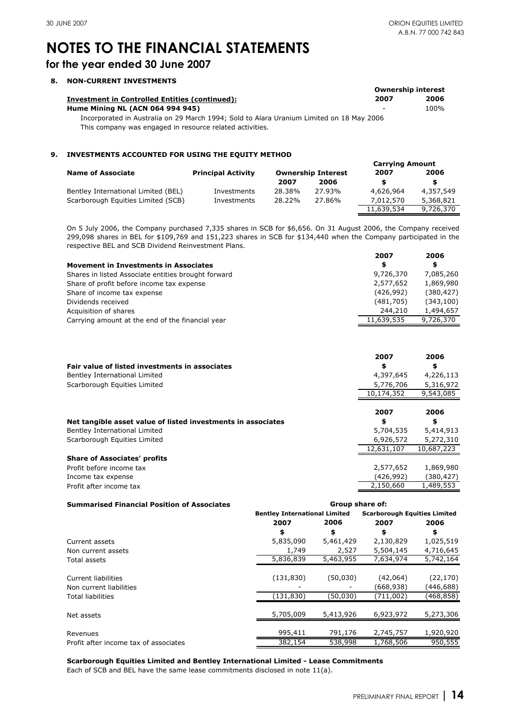**2007**

**2006**

# **NOTES TO THE FINANCIAL STATEMENTS**

### **for the year ended 30 June 2007**

#### **8. NON-CURRENT INVESTMENTS**

|                                                                                          | <b>Ownership interest</b> |      |
|------------------------------------------------------------------------------------------|---------------------------|------|
| <b>Investment in Controlled Entities (continued):</b>                                    | 2007                      | 2006 |
| <b>Hume Mining NL (ACN 064 994 945)</b>                                                  | $\overline{\phantom{0}}$  | 100% |
| Incorporated in Australia on 29 March 1994; Sold to Alara Uranium Limited on 18 May 2006 |                           |      |
| This company was engaged in resource related activities.                                 |                           |      |

#### **9. INVESTMENTS ACCOUNTED FOR USING THE EQUITY METHOD**

|                                     |                           |        |                           | <b>Carrying Amount</b> |           |
|-------------------------------------|---------------------------|--------|---------------------------|------------------------|-----------|
| <b>Name of Associate</b>            | <b>Principal Activity</b> |        | <b>Ownership Interest</b> | 2007                   | 2006      |
|                                     |                           | 2007   | 2006                      |                        |           |
| Bentley International Limited (BEL) | Investments               | 28.38% | 27.93%                    | 4,626,964              | 4,357,549 |
| Scarborough Equities Limited (SCB)  | Investments               | 28.22% | 27.86%                    | 7,012,570              | 5,368,821 |
|                                     |                           |        |                           | 11,639,534             | 9,726,370 |

On 5 July 2006, the Company purchased 7,335 shares in SCB for \$6,656. On 31 August 2006, the Company received 299,098 shares in BEL for \$109,769 and 151,223 shares in SCB for \$134,440 when the Company participated in the respective BEL and SCB Dividend Reinvestment Plans.

|                                                     | ---        | -uu        |
|-----------------------------------------------------|------------|------------|
| <b>Movement in Investments in Associates</b>        | \$         | \$         |
| Shares in listed Associate entities brought forward | 9,726,370  | 7,085,260  |
| Share of profit before income tax expense           | 2,577,652  | 1,869,980  |
| Share of income tax expense                         | (426,992)  | (380, 427) |
| Dividends received                                  | (481,705)  | (343, 100) |
| Acquisition of shares                               | 244,210    | 1,494,657  |
| Carrying amount at the end of the financial year    | 11,639,535 | 9,726,370  |
|                                                     |            |            |

|                                                              | 2007       | 2006                   |
|--------------------------------------------------------------|------------|------------------------|
| Fair value of listed investments in associates               | \$         | \$                     |
| Bentley International Limited                                | 4,397,645  | 4,226,113              |
| Scarborough Equities Limited                                 | 5,776,706  | 5,316,972              |
|                                                              | 10,174,352 | $\overline{9,543,085}$ |
|                                                              |            |                        |
|                                                              | 2007       | 2006                   |
| Net tangible asset value of listed investments in associates | \$         | \$                     |
| Bentley International Limited                                | 5,704,535  | 5,414,913              |
| Scarborough Equities Limited                                 | 6,926,572  | 5,272,310              |
|                                                              | 12,631,107 | 10,687,223             |
| <b>Share of Associates' profits</b>                          |            |                        |
| Profit before income tax                                     | 2,577,652  | 1,869,980              |
| Income tax expense                                           | (426,992)  | (380,427)              |
| Profit after income tax                                      | 2,150,660  | 1,489,553              |

| <b>Summarised Financial Position of Associates</b> | Group share of:                      |           |           |                                     |  |
|----------------------------------------------------|--------------------------------------|-----------|-----------|-------------------------------------|--|
|                                                    | <b>Bentley International Limited</b> |           |           | <b>Scarborough Equities Limited</b> |  |
|                                                    | 2007                                 | 2006      | 2007      | 2006                                |  |
|                                                    | \$                                   | \$        | \$        | \$                                  |  |
| Current assets                                     | 5,835,090                            | 5,461,429 | 2,130,829 | 1,025,519                           |  |
| Non current assets                                 | 1,749                                | 2,527     | 5,504,145 | 4,716,645                           |  |
| Total assets                                       | 5,836,839                            | 5,463,955 | 7,634,974 | 5,742,164                           |  |
| Current liabilities                                | (131, 830)                           | (50, 030) | (42,064)  | (22, 170)                           |  |
| Non current liabilities                            |                                      |           | (668,938) | (446,688)                           |  |
| <b>Total liabilities</b>                           | (131, 830)                           | (50,030)  | (711,002) | (468,858)                           |  |
| Net assets                                         | 5,705,009                            | 5,413,926 | 6,923,972 | 5,273,306                           |  |
| Revenues                                           | 995,411                              | 791,176   | 2,745,757 | 1,920,920                           |  |
| Profit after income tax of associates              | 382,154                              | 538,998   | 1,768,506 | 950,555                             |  |

**Scarborough Equities Limited and Bentley International Limited - Lease Commitments** Each of SCB and BEL have the same lease commitments disclosed in note 11(a).

PRELIMINARY FINAL REPORT **| 14**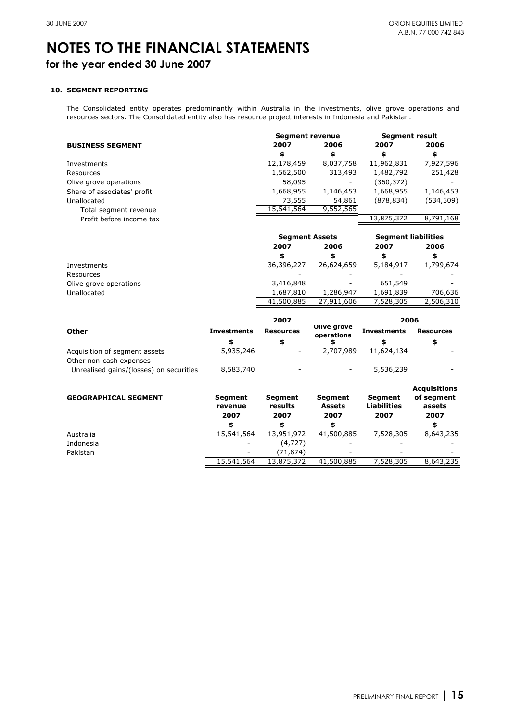# **NOTES TO THE FINANCIAL STATEMENTS for the year ended 30 June 2007**

#### **10. SEGMENT REPORTING**

The Consolidated entity operates predominantly within Australia in the investments, olive grove operations and resources sectors. The Consolidated entity also has resource project interests in Indonesia and Pakistan.

|                                         |                    | <b>Segment revenue</b> |                           | <b>Segment result</b>      |                     |
|-----------------------------------------|--------------------|------------------------|---------------------------|----------------------------|---------------------|
| <b>BUSINESS SEGMENT</b>                 |                    | 2007                   | 2006                      | 2007                       | 2006                |
|                                         |                    | \$                     | \$                        | \$                         | \$                  |
| Investments                             |                    | 12,178,459             | 8,037,758                 | 11,962,831                 | 7,927,596           |
| Resources                               |                    | 1,562,500              | 313,493                   | 1,482,792                  | 251,428             |
| Olive grove operations                  |                    | 58,095                 |                           | (360, 372)                 |                     |
| Share of associates' profit             |                    | 1,668,955              | 1,146,453                 | 1,668,955                  | 1,146,453           |
| Unallocated                             |                    | 73,555                 | 54,861                    | (878, 834)                 | (534, 309)          |
| Total segment revenue                   |                    | 15,541,564             | 9,552,565                 |                            |                     |
| Profit before income tax                |                    |                        |                           | 13,875,372                 | 8,791,168           |
|                                         |                    | <b>Segment Assets</b>  |                           | <b>Segment liabilities</b> |                     |
|                                         |                    | 2007                   | 2006                      | 2007                       | 2006                |
|                                         |                    | \$                     | \$                        | \$                         | \$                  |
| Investments                             |                    | 36,396,227             | 26,624,659                | 5,184,917                  | 1,799,674           |
| Resources                               |                    |                        |                           |                            |                     |
| Olive grove operations                  |                    | 3,416,848              |                           | 651,549                    |                     |
| Unallocated                             |                    | 1,687,810              | 1,286,947                 | 1,691,839                  | 706,636             |
|                                         |                    | 41,500,885             | 27,911,606                | 7,528,305                  | 2,506,310           |
|                                         |                    | 2007                   |                           | 2006                       |                     |
| Other                                   | <b>Investments</b> | <b>Resources</b>       | Olive grove<br>operations | <b>Investments</b>         | <b>Resources</b>    |
|                                         | \$                 | \$                     | \$                        | \$                         | \$                  |
| Acquisition of segment assets           | 5,935,246          |                        | 2,707,989                 | 11,624,134                 |                     |
| Other non-cash expenses                 |                    |                        |                           |                            |                     |
| Unrealised gains/(losses) on securities | 8,583,740          |                        |                           | 5,536,239                  |                     |
|                                         |                    |                        |                           |                            | <b>Acquisitions</b> |
| <b>GEOGRAPHICAL SEGMENT</b>             | <b>Segment</b>     | <b>Segment</b>         | Segment                   | Segment                    | of segment          |
|                                         | revenue            | results                | <b>Assets</b>             | <b>Liabilities</b>         | assets              |
|                                         | 2007               | 2007                   | 2007                      | 2007                       | 2007                |
|                                         | \$                 | \$                     | \$                        |                            | \$                  |
| Australia                               | 15,541,564         | 13,951,972             | 41,500,885                | 7,528,305                  | 8,643,235           |
| Indonesia                               |                    | (4, 727)               |                           |                            |                     |
| Pakistan                                |                    | (71, 874)              |                           |                            |                     |
|                                         | 15,541,564         | 13,875,372             | 41,500,885                | 7,528,305                  | 8,643,235           |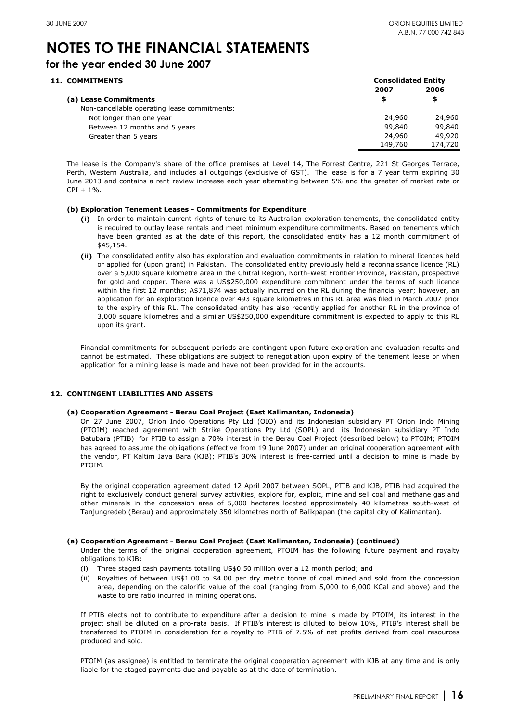### **for the year ended 30 June 2007**

### 11. COMMITMENTS

| <b>Consolidated Entity</b> |         |  |
|----------------------------|---------|--|
| 2007                       | 2006    |  |
| \$                         | \$      |  |
|                            |         |  |
| 24,960                     | 24,960  |  |
| 99,840                     | 99,840  |  |
| 24,960                     | 49,920  |  |
| 149,760                    | 174,720 |  |
|                            |         |  |

The lease is the Company's share of the office premises at Level 14, The Forrest Centre, 221 St Georges Terrace, Perth, Western Australia, and includes all outgoings (exclusive of GST). The lease is for a 7 year term expiring 30 June 2013 and contains a rent review increase each year alternating between 5% and the greater of market rate or  $CPI + 1\%$ .

#### **(b) Exploration Tenement Leases - Commitments for Expenditure**

- **(i)** In order to maintain current rights of tenure to its Australian exploration tenements, the consolidated entity is required to outlay lease rentals and meet minimum expenditure commitments. Based on tenements which have been granted as at the date of this report, the consolidated entity has a 12 month commitment of \$45,154.
- **(ii)** The consolidated entity also has exploration and evaluation commitments in relation to mineral licences held or applied for (upon grant) in Pakistan. The consolidated entity previously held a reconnaissance licence (RL) over a 5,000 square kilometre area in the Chitral Region, North-West Frontier Province, Pakistan, prospective for gold and copper. There was a US\$250,000 expenditure commitment under the terms of such licence within the first 12 months; A\$71,874 was actually incurred on the RL during the financial year; however, an application for an exploration licence over 493 square kilometres in this RL area was filed in March 2007 prior to the expiry of this RL. The consolidated entity has also recently applied for another RL in the province of 3,000 square kilometres and a similar US\$250,000 expenditure commitment is expected to apply to this RL upon its grant.

Financial commitments for subsequent periods are contingent upon future exploration and evaluation results and cannot be estimated. These obligations are subject to renegotiation upon expiry of the tenement lease or when application for a mining lease is made and have not been provided for in the accounts.

#### **12. CONTINGENT LIABILITIES AND ASSETS**

#### **(a) Cooperation Agreement - Berau Coal Project (East Kalimantan, Indonesia)**

On 27 June 2007, Orion Indo Operations Pty Ltd (OIO) and its Indonesian subsidiary PT Orion Indo Mining (PTOIM) reached agreement with Strike Operations Pty Ltd (SOPL) and its Indonesian subsidiary PT Indo Batubara (PTIB) for PTIB to assign a 70% interest in the Berau Coal Project (described below) to PTOIM; PTOIM has agreed to assume the obligations (effective from 19 June 2007) under an original cooperation agreement with the vendor, PT Kaltim Jaya Bara (KJB); PTIB's 30% interest is free-carried until a decision to mine is made by PTOIM.

By the original cooperation agreement dated 12 April 2007 between SOPL, PTIB and KJB, PTIB had acquired the right to exclusively conduct general survey activities, explore for, exploit, mine and sell coal and methane gas and other minerals in the concession area of 5,000 hectares located approximately 40 kilometres south-west of Tanjungredeb (Berau) and approximately 350 kilometres north of Balikpapan (the capital city of Kalimantan).

#### **(a) Cooperation Agreement - Berau Coal Project (East Kalimantan, Indonesia) (continued)**

Under the terms of the original cooperation agreement, PTOIM has the following future payment and royalty obligations to KJB:

- (i) Three staged cash payments totalling US\$0.50 million over a 12 month period; and
- (ii) Royalties of between US\$1.00 to \$4.00 per dry metric tonne of coal mined and sold from the concession area, depending on the calorific value of the coal (ranging from 5,000 to 6,000 KCal and above) and the waste to ore ratio incurred in mining operations.

If PTIB elects not to contribute to expenditure after a decision to mine is made by PTOIM, its interest in the project shall be diluted on a pro-rata basis. If PTIB's interest is diluted to below 10%, PTIB's interest shall be transferred to PTOIM in consideration for a royalty to PTIB of 7.5% of net profits derived from coal resources produced and sold.

PTOIM (as assignee) is entitled to terminate the original cooperation agreement with KJB at any time and is only liable for the staged payments due and payable as at the date of termination.